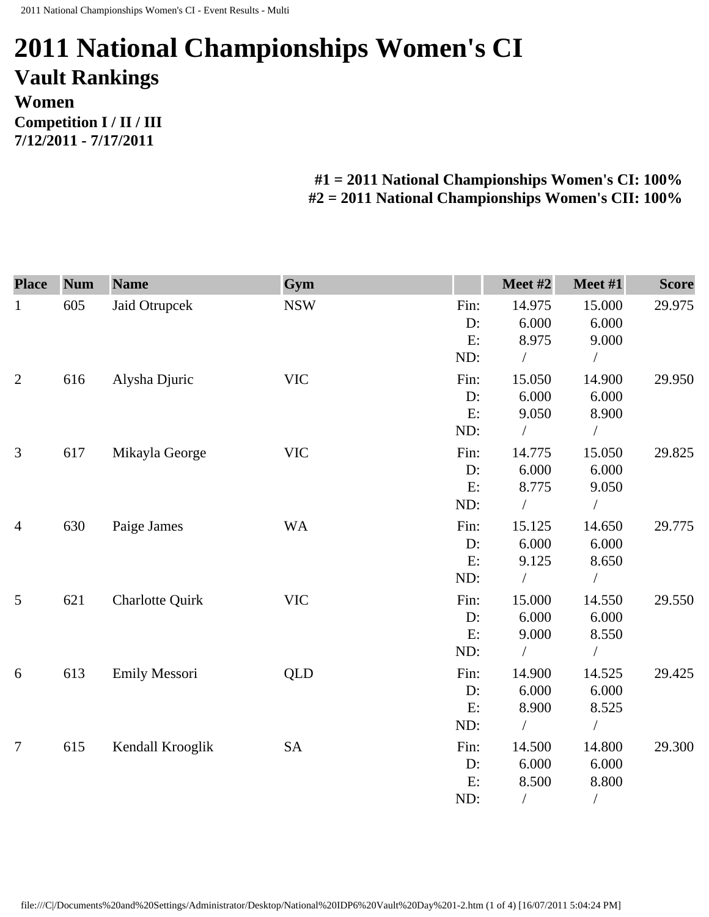## **2011 National Championships Women's CI Vault Rankings Women Competition I / II / III 7/12/2011 - 7/17/2011**

## **#1 = 2011 National Championships Women's CI: 100% #2 = 2011 National Championships Women's CII: 100%**

| <b>Place</b>   | <b>Num</b> | <b>Name</b>            | Gym        |      | Meet #2    | Meet #1        | <b>Score</b> |
|----------------|------------|------------------------|------------|------|------------|----------------|--------------|
| $\mathbf{1}$   | 605        | Jaid Otrupcek          | <b>NSW</b> | Fin: | 14.975     | 15.000         | 29.975       |
|                |            |                        |            | D:   | 6.000      | 6.000          |              |
|                |            |                        |            | E:   | 8.975      | 9.000          |              |
|                |            |                        |            | ND:  | $\sqrt{2}$ | $\sqrt{2}$     |              |
| $\overline{2}$ | 616        | Alysha Djuric          | <b>VIC</b> | Fin: | 15.050     | 14.900         | 29.950       |
|                |            |                        |            | D:   | 6.000      | 6.000          |              |
|                |            |                        |            | E:   | 9.050      | 8.900          |              |
|                |            |                        |            | ND:  |            | $\sqrt{2}$     |              |
| 3              | 617        | Mikayla George         | <b>VIC</b> | Fin: | 14.775     | 15.050         | 29.825       |
|                |            |                        |            | D:   | 6.000      | 6.000          |              |
|                |            |                        |            | E:   | 8.775      | 9.050          |              |
|                |            |                        |            | ND:  |            | $\bigg)$       |              |
| $\overline{4}$ | 630        | Paige James            | <b>WA</b>  | Fin: | 15.125     | 14.650         | 29.775       |
|                |            |                        |            | D:   | 6.000      | 6.000          |              |
|                |            |                        |            | E:   | 9.125      | 8.650          |              |
|                |            |                        |            | ND:  |            | $\sqrt{2}$     |              |
| $\mathfrak{S}$ | 621        | <b>Charlotte Quirk</b> | <b>VIC</b> | Fin: | 15.000     | 14.550         | 29.550       |
|                |            |                        |            | D:   | 6.000      | 6.000          |              |
|                |            |                        |            | E:   | 9.000      | 8.550          |              |
|                |            |                        |            | ND:  |            |                |              |
| 6              | 613        | Emily Messori          | <b>QLD</b> | Fin: | 14.900     | 14.525         | 29.425       |
|                |            |                        |            | D:   | 6.000      | 6.000          |              |
|                |            |                        |            | E:   | 8.900      | 8.525          |              |
|                |            |                        |            | ND:  |            | $\sqrt{2}$     |              |
| $\overline{7}$ | 615        | Kendall Krooglik       | <b>SA</b>  | Fin: | 14.500     | 14.800         | 29.300       |
|                |            |                        |            | D:   | 6.000      | 6.000          |              |
|                |            |                        |            | E:   | 8.500      | 8.800          |              |
|                |            |                        |            | ND:  | $\sqrt{2}$ | $\overline{1}$ |              |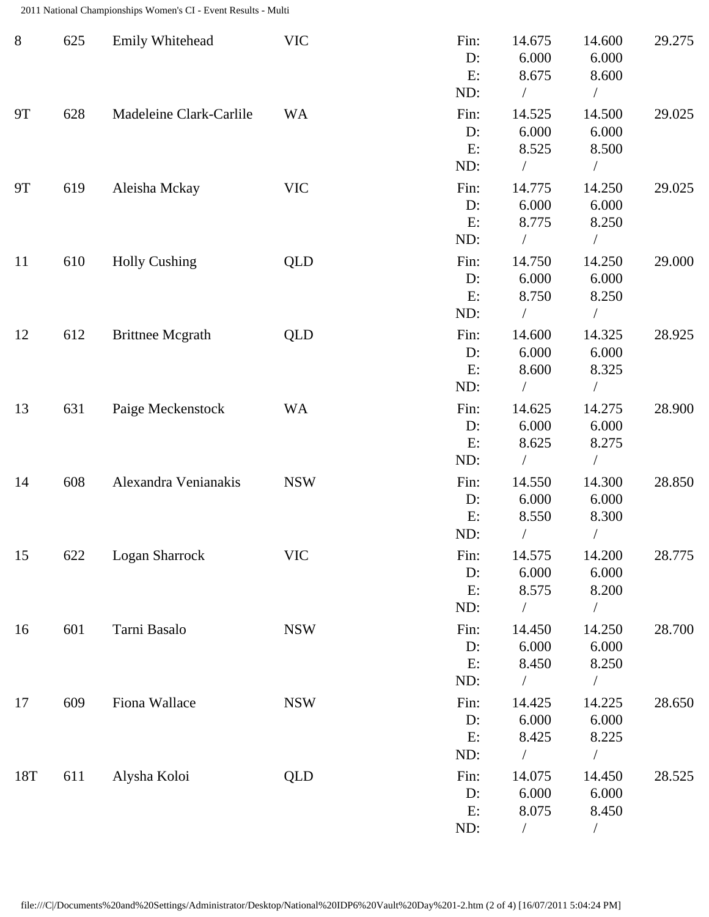2011 National Championships Women's CI - Event Results - Multi

| $8\,$     | 625 | Emily Whitehead         | <b>VIC</b> | Fin:<br>D:<br>E:<br>ND: | 14.675<br>6.000<br>8.675               | 14.600<br>6.000<br>8.600<br>$\sqrt{2}$ | 29.275 |
|-----------|-----|-------------------------|------------|-------------------------|----------------------------------------|----------------------------------------|--------|
| <b>9T</b> | 628 | Madeleine Clark-Carlile | <b>WA</b>  | Fin:<br>D:<br>E:<br>ND: | 14.525<br>6.000<br>8.525               | 14.500<br>6.000<br>8.500               | 29.025 |
| <b>9T</b> | 619 | Aleisha Mckay           | <b>VIC</b> | Fin:<br>D:<br>E:<br>ND: | 14.775<br>6.000<br>8.775<br>$\sqrt{2}$ | 14.250<br>6.000<br>8.250<br>$\sqrt{2}$ | 29.025 |
| 11        | 610 | <b>Holly Cushing</b>    | <b>QLD</b> | Fin:<br>D:<br>E:<br>ND: | 14.750<br>6.000<br>8.750               | 14.250<br>6.000<br>8.250               | 29.000 |
| 12        | 612 | <b>Brittnee Mcgrath</b> | QLD        | Fin:<br>D:<br>E:<br>ND: | 14.600<br>6.000<br>8.600               | 14.325<br>6.000<br>8.325<br>$\sqrt{2}$ | 28.925 |
| 13        | 631 | Paige Meckenstock       | <b>WA</b>  | Fin:<br>D:<br>E:<br>ND: | 14.625<br>6.000<br>8.625               | 14.275<br>6.000<br>8.275               | 28.900 |
| 14        | 608 | Alexandra Venianakis    | <b>NSW</b> | Fin:<br>D:<br>E:<br>ND: | 14.550<br>6.000<br>8.550               | 14.300<br>6.000<br>8.300               | 28.850 |
| 15        | 622 | Logan Sharrock          | <b>VIC</b> | Fin:<br>D:<br>E:<br>ND: | 14.575<br>6.000<br>8.575<br>$\sqrt{2}$ | 14.200<br>6.000<br>8.200<br>$\sqrt{2}$ | 28.775 |
| 16        | 601 | Tarni Basalo            | <b>NSW</b> | Fin:<br>D:<br>E:<br>ND: | 14.450<br>6.000<br>8.450               | 14.250<br>6.000<br>8.250               | 28.700 |
| 17        | 609 | Fiona Wallace           | <b>NSW</b> | Fin:<br>D:<br>E:<br>ND: | 14.425<br>6.000<br>8.425<br>$\sqrt{2}$ | 14.225<br>6.000<br>8.225<br>$\sqrt{2}$ | 28.650 |
| 18T       | 611 | Alysha Koloi            | QLD        | Fin:<br>D:<br>E:<br>ND: | 14.075<br>6.000<br>8.075               | 14.450<br>6.000<br>8.450               | 28.525 |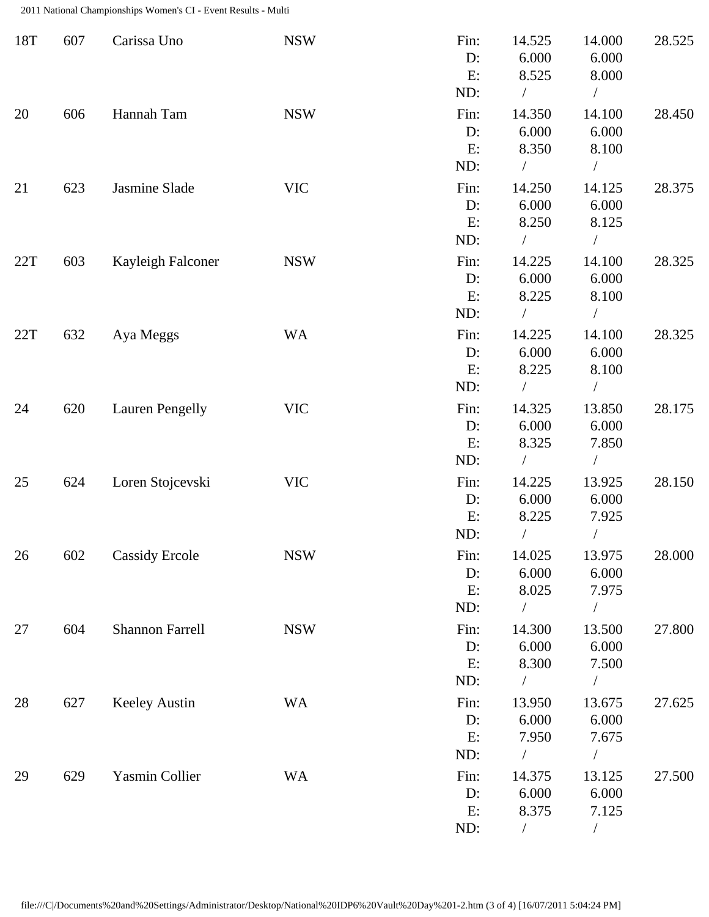2011 National Championships Women's CI - Event Results - Multi

| 18T | 607 | Carissa Uno            | <b>NSW</b> | Fin:<br>D:<br>E:<br>ND:    | 14.525<br>6.000<br>8.525<br>$\sqrt{2}$ | 14.000<br>6.000<br>8.000<br>$\sqrt{2}$     | 28.525 |
|-----|-----|------------------------|------------|----------------------------|----------------------------------------|--------------------------------------------|--------|
| 20  | 606 | Hannah Tam             | <b>NSW</b> | Fin:<br>D:<br>E:<br>ND:    | 14.350<br>6.000<br>8.350               | 14.100<br>6.000<br>8.100                   | 28.450 |
| 21  | 623 | Jasmine Slade          | <b>VIC</b> | Fin:<br>D:<br>E:<br>ND:    | 14.250<br>6.000<br>8.250<br>$\sqrt{2}$ | 14.125<br>6.000<br>8.125<br>$\overline{1}$ | 28.375 |
| 22T | 603 | Kayleigh Falconer      | <b>NSW</b> | Fin:<br>$D$ :<br>E:<br>ND: | 14.225<br>6.000<br>8.225               | 14.100<br>6.000<br>8.100<br>$\sqrt{2}$     | 28.325 |
| 22T | 632 | Aya Meggs              | <b>WA</b>  | Fin:<br>D:<br>E:<br>ND:    | 14.225<br>6.000<br>8.225               | 14.100<br>6.000<br>8.100<br>$\overline{ }$ | 28.325 |
| 24  | 620 | <b>Lauren Pengelly</b> | <b>VIC</b> | Fin:<br>D:<br>E:<br>ND:    | 14.325<br>6.000<br>8.325               | 13.850<br>6.000<br>7.850<br>$\sqrt{2}$     | 28.175 |
| 25  | 624 | Loren Stojcevski       | <b>VIC</b> | Fin:<br>D:<br>E:<br>ND:    | 14.225<br>6.000<br>8.225               | 13.925<br>6.000<br>7.925<br>$\overline{1}$ | 28.150 |
| 26  | 602 | <b>Cassidy Ercole</b>  | <b>NSW</b> | Fin:<br>D:<br>E:<br>ND:    | 14.025<br>6.000<br>8.025<br>$\sqrt{2}$ | 13.975<br>6.000<br>7.975<br>$\sqrt{2}$     | 28.000 |
| 27  | 604 | <b>Shannon Farrell</b> | <b>NSW</b> | Fin:<br>D:<br>E:<br>ND:    | 14.300<br>6.000<br>8.300               | 13.500<br>6.000<br>7.500                   | 27.800 |
| 28  | 627 | <b>Keeley Austin</b>   | <b>WA</b>  | Fin:<br>D:<br>E:<br>ND:    | 13.950<br>6.000<br>7.950               | 13.675<br>6.000<br>7.675<br>$\bigg)$       | 27.625 |
| 29  | 629 | Yasmin Collier         | <b>WA</b>  | Fin:<br>D:<br>E:<br>ND:    | 14.375<br>6.000<br>8.375<br>$\sqrt{2}$ | 13.125<br>6.000<br>7.125<br>$\sqrt{2}$     | 27.500 |